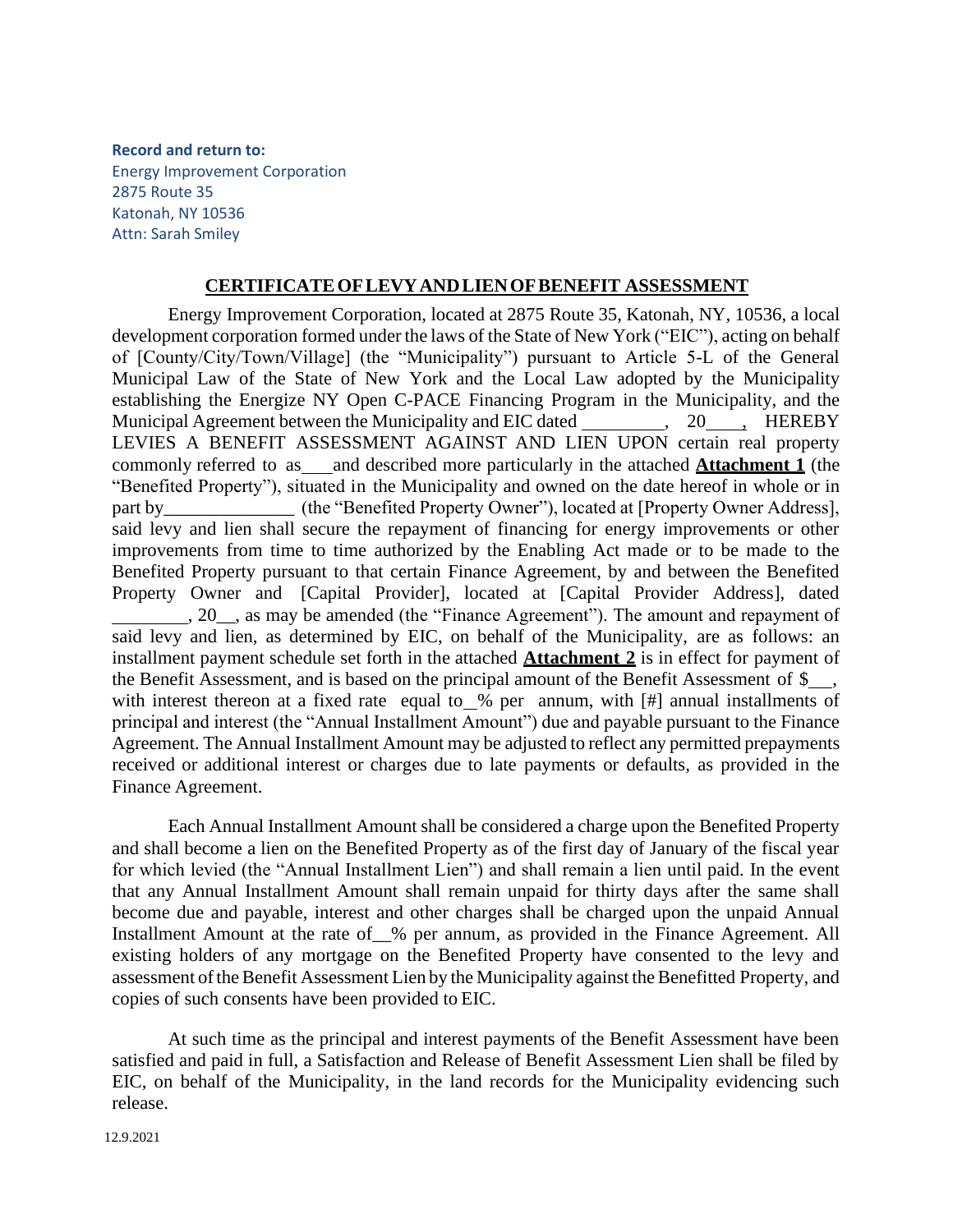**Record and return to:** Energy Improvement Corporation 2875 Route 35 Katonah, NY 10536 Attn: Sarah Smiley

## **CERTIFICATEOFLEVYANDLIENOFBENEFIT ASSESSMENT**

Energy Improvement Corporation, located at 2875 Route 35, Katonah, NY, 10536, a local development corporation formed under the laws of the State of New York ("EIC"), acting on behalf of [County/City/Town/Village] (the "Municipality") pursuant to Article 5-L of the General Municipal Law of the State of New York and the Local Law adopted by the Municipality establishing the Energize NY Open C-PACE Financing Program in the Municipality, and the Municipal Agreement between the Municipality and EIC dated , 20, HEREBY LEVIES A BENEFIT ASSESSMENT AGAINST AND LIEN UPON certain real property commonly referred to as and described more particularly in the attached **Attachment 1** (the "Benefited Property"), situated in the Municipality and owned on the date hereof in whole or in part by\_\_\_\_\_\_\_\_\_\_\_\_\_\_\_ (the "Benefited Property Owner"), located at [Property Owner Address], said levy and lien shall secure the repayment of financing for energy improvements or other improvements from time to time authorized by the Enabling Act made or to be made to the Benefited Property pursuant to that certain Finance Agreement, by and between the Benefited Property Owner and [Capital Provider], located at [Capital Provider Address], dated , 20\_\_, as may be amended (the "Finance Agreement"). The amount and repayment of said levy and lien, as determined by EIC, on behalf of the Municipality, are as follows: an installment payment schedule set forth in the attached **Attachment 2** is in effect for payment of the Benefit Assessment, and is based on the principal amount of the Benefit Assessment of \$, with interest thereon at a fixed rate equal to % per annum, with [#] annual installments of principal and interest (the "Annual Installment Amount") due and payable pursuant to the Finance Agreement. The Annual Installment Amount may be adjusted to reflect any permitted prepayments received or additional interest or charges due to late payments or defaults, as provided in the Finance Agreement.

Each Annual Installment Amount shall be considered a charge upon the Benefited Property and shall become a lien on the Benefited Property as of the first day of January of the fiscal year for which levied (the "Annual Installment Lien") and shall remain a lien until paid. In the event that any Annual Installment Amount shall remain unpaid for thirty days after the same shall become due and payable, interest and other charges shall be charged upon the unpaid Annual Installment Amount at the rate of % per annum, as provided in the Finance Agreement. All existing holders of any mortgage on the Benefited Property have consented to the levy and assessment of the Benefit Assessment Lien by the Municipality against the Benefitted Property, and copies of such consents have been provided to EIC.

At such time as the principal and interest payments of the Benefit Assessment have been satisfied and paid in full, a Satisfaction and Release of Benefit Assessment Lien shall be filed by EIC, on behalf of the Municipality, in the land records for the Municipality evidencing such release.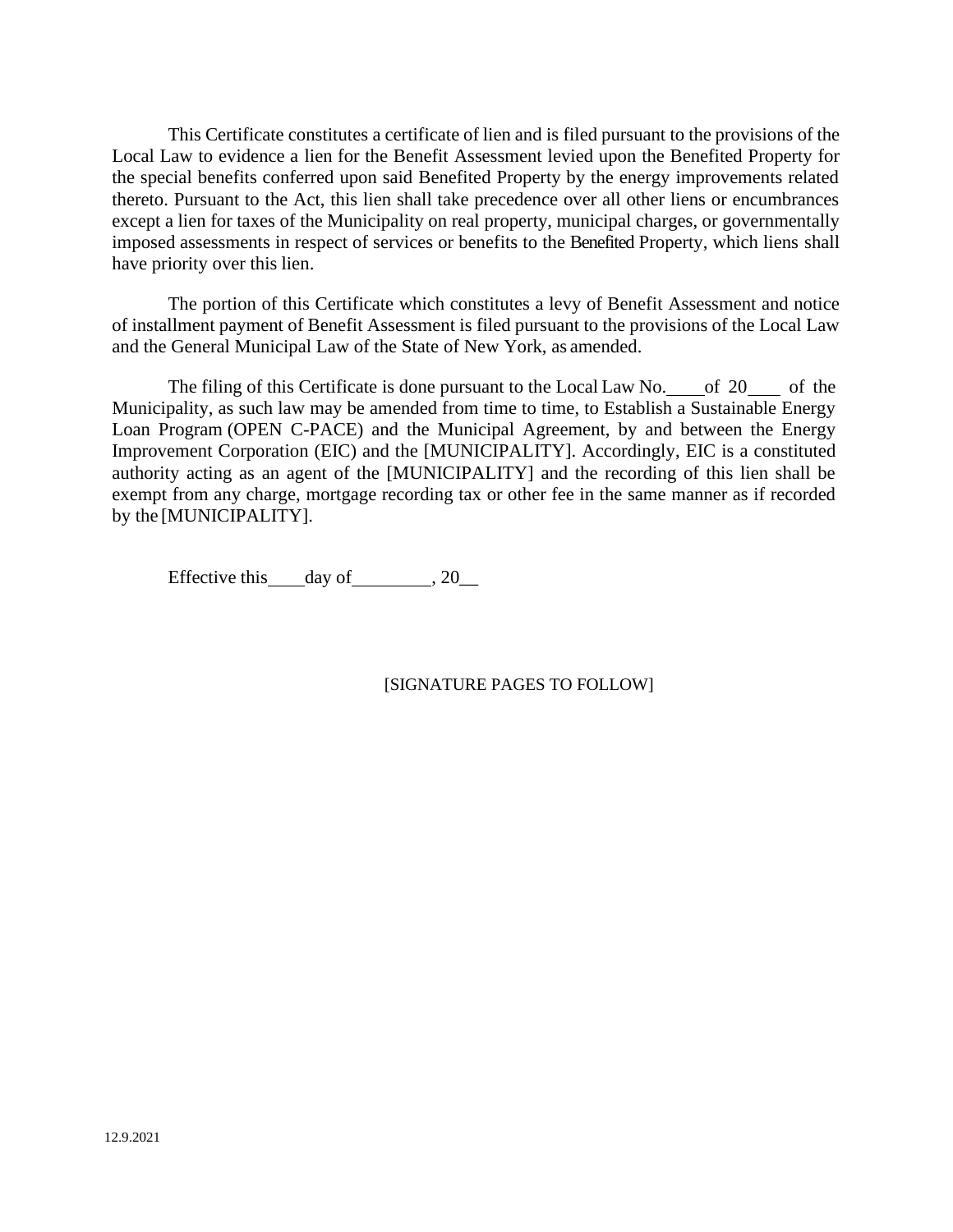This Certificate constitutes a certificate of lien and is filed pursuant to the provisions of the Local Law to evidence a lien for the Benefit Assessment levied upon the Benefited Property for the special benefits conferred upon said Benefited Property by the energy improvements related thereto. Pursuant to the Act, this lien shall take precedence over all other liens or encumbrances except a lien for taxes of the Municipality on real property, municipal charges, or governmentally imposed assessments in respect of services or benefits to the Benefited Property, which liens shall have priority over this lien.

The portion of this Certificate which constitutes a levy of Benefit Assessment and notice of installment payment of Benefit Assessment is filed pursuant to the provisions of the Local Law and the General Municipal Law of the State of New York, as amended.

The filing of this Certificate is done pursuant to the Local Law No. of 20 of the Municipality, as such law may be amended from time to time, to Establish a Sustainable Energy Loan Program (OPEN C-PACE) and the Municipal Agreement, by and between the Energy Improvement Corporation (EIC) and the [MUNICIPALITY]. Accordingly, EIC is a constituted authority acting as an agent of the [MUNICIPALITY] and the recording of this lien shall be exempt from any charge, mortgage recording tax or other fee in the same manner as if recorded by the [MUNICIPALITY].

Effective this \_\_\_\_ day of \_\_\_\_\_\_\_\_\_, 20\_\_\_

[SIGNATURE PAGES TO FOLLOW]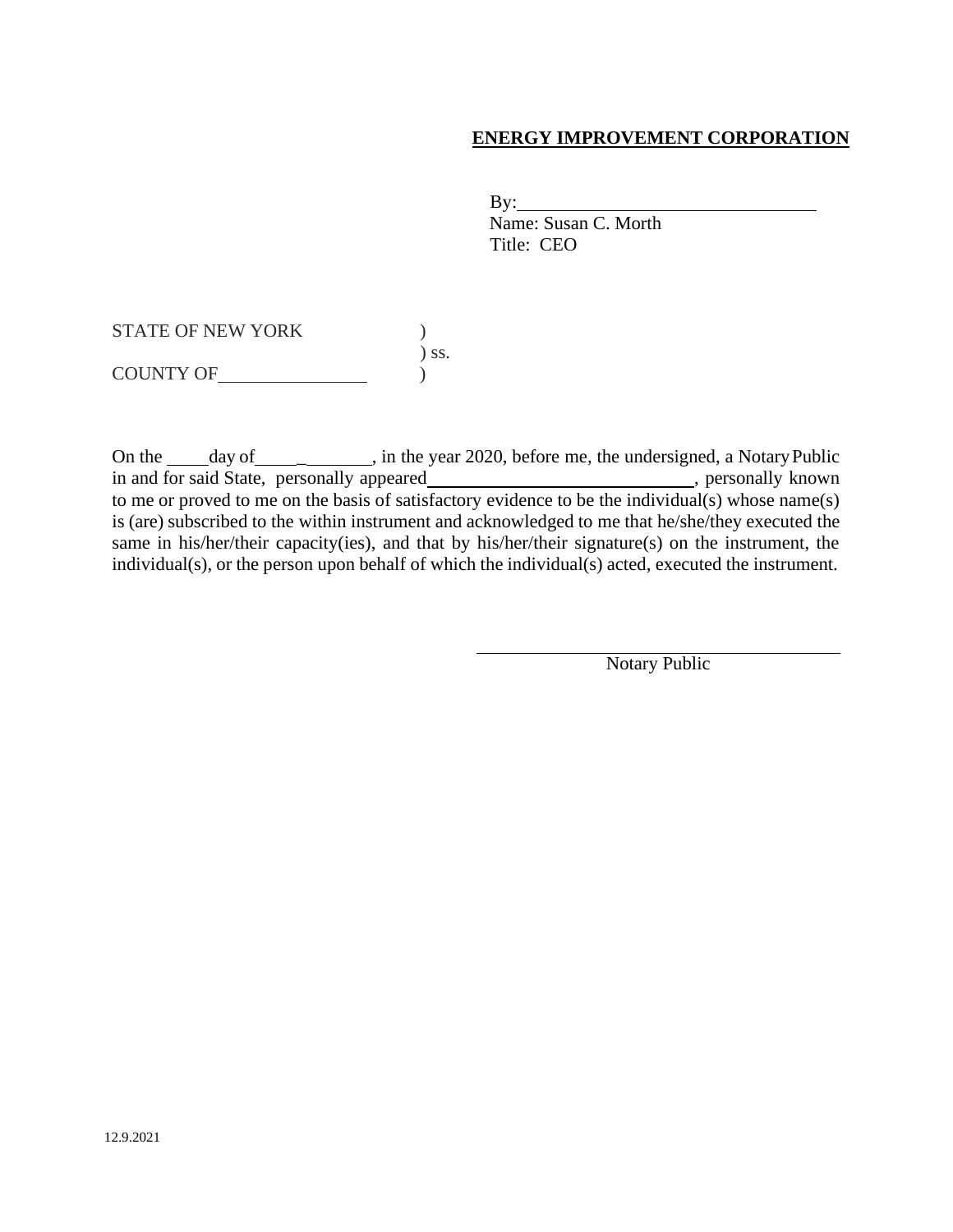## **ENERGY IMPROVEMENT CORPORATION**

By:

Name: Susan C. Morth Title: CEO

STATE OF NEW YORK  $)$ ) ss. COUNTY OF  $\qquad \qquad$ 

On the \_\_\_\_\_ day of \_\_\_\_\_\_\_\_\_\_\_, in the year 2020, before me, the undersigned, a Notary Public in and for said State, personally appeared<br>
, personally known to me or proved to me on the basis of satisfactory evidence to be the individual(s) whose name(s) is (are) subscribed to the within instrument and acknowledged to me that he/she/they executed the same in his/her/their capacity(ies), and that by his/her/their signature(s) on the instrument, the individual(s), or the person upon behalf of which the individual(s) acted, executed the instrument.

Notary Public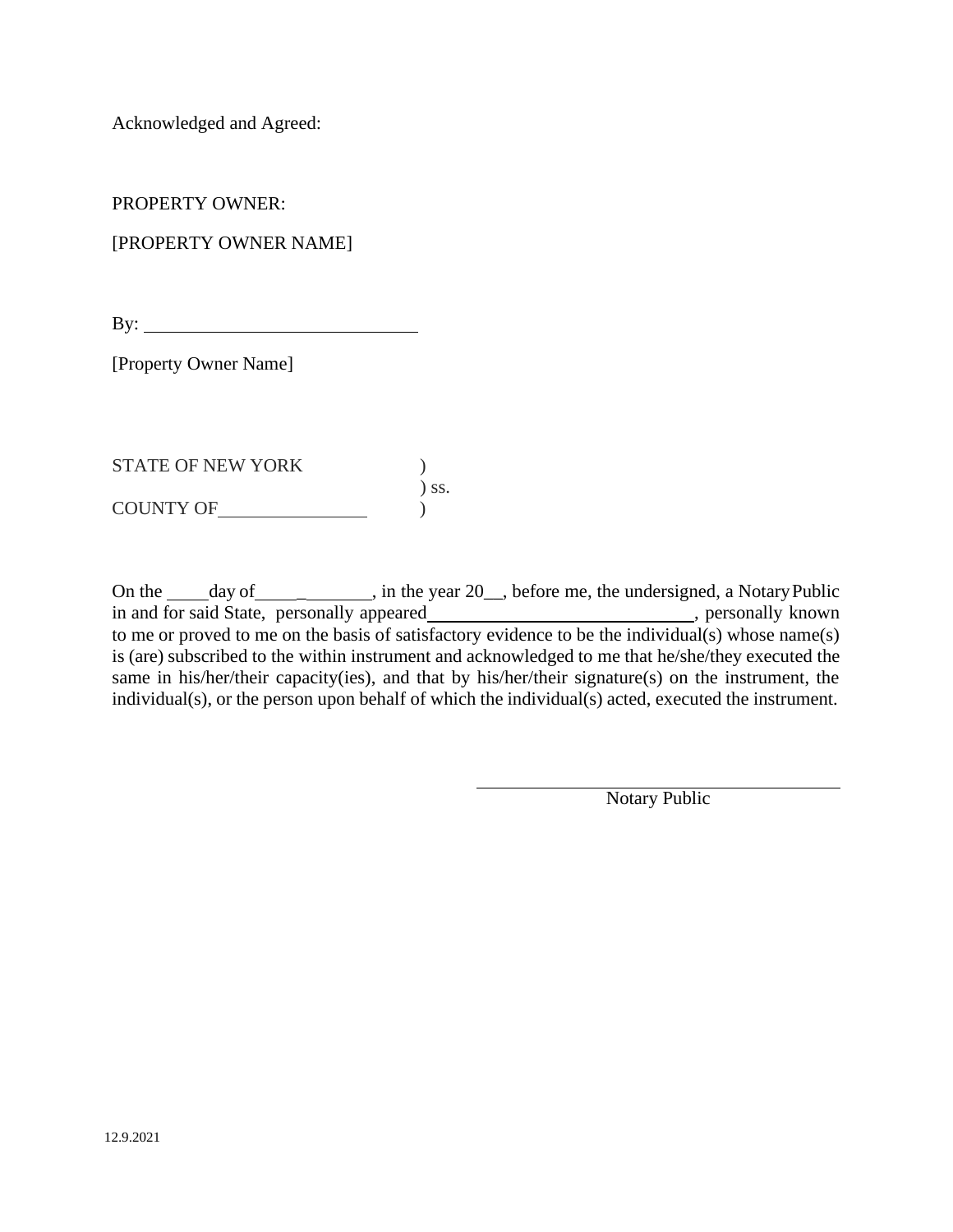Acknowledged and Agreed:

PROPERTY OWNER:

[PROPERTY OWNER NAME]

By:

[Property Owner Name]

STATE OF NEW YORK  $\qquad \qquad$  ) ) ss. COUNTY OF )

On the day of \_\_\_\_\_\_, in the year 20\_, before me, the undersigned, a Notary Public in and for said State, personally appeared , personally known , personally known to me or proved to me on the basis of satisfactory evidence to be the individual(s) whose name(s) is (are) subscribed to the within instrument and acknowledged to me that he/she/they executed the same in his/her/their capacity(ies), and that by his/her/their signature(s) on the instrument, the individual(s), or the person upon behalf of which the individual(s) acted, executed the instrument.

Notary Public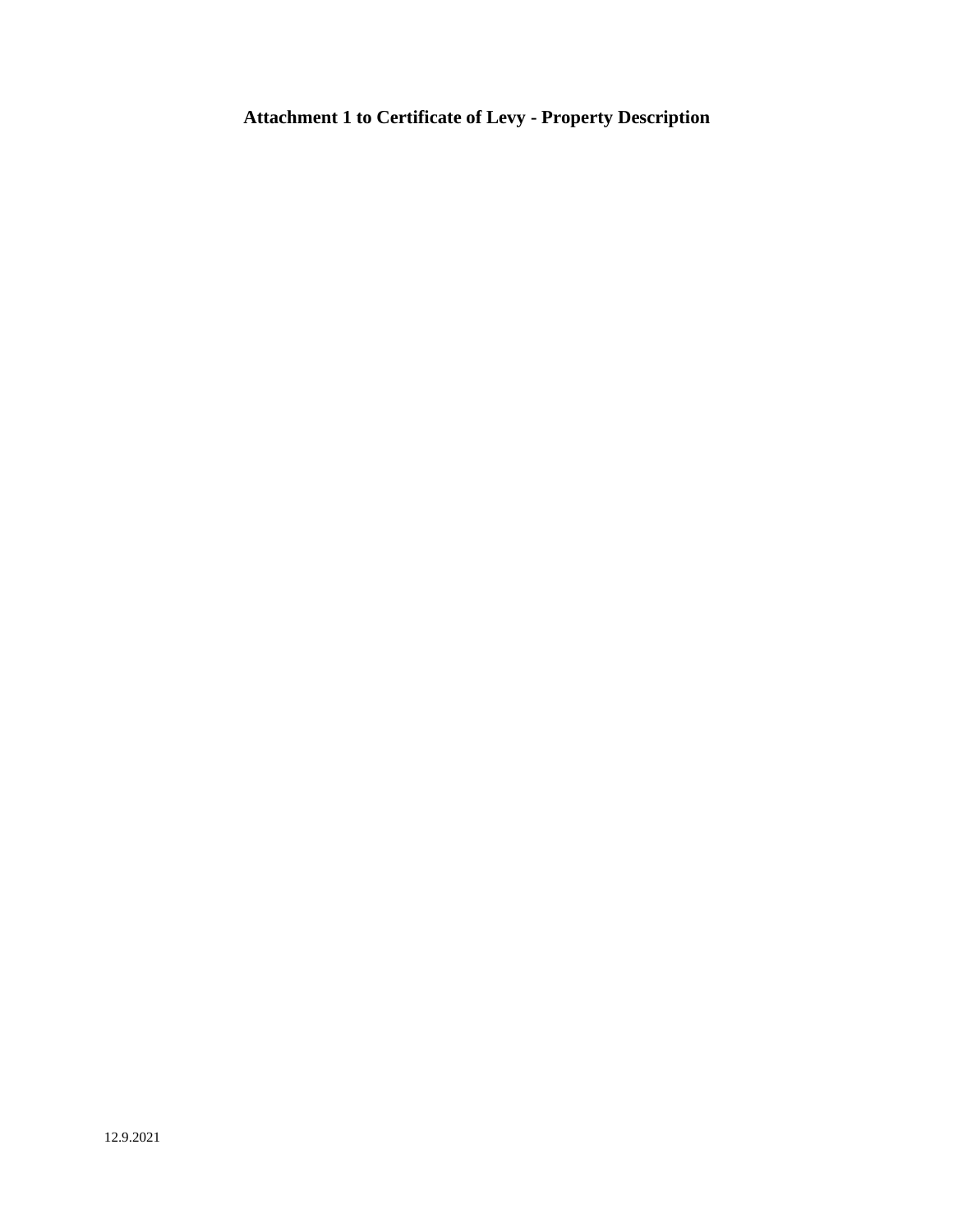## **Attachment 1 to Certificate of Levy - Property Description**